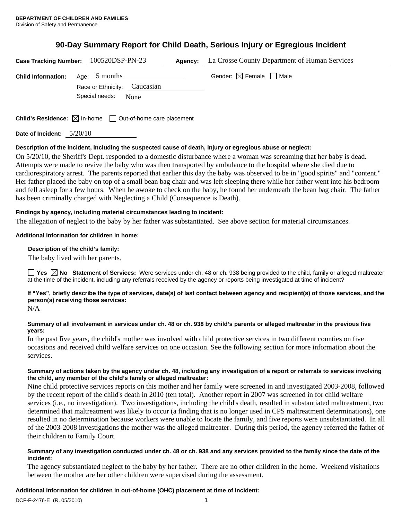# **90-Day Summary Report for Child Death, Serious Injury or Egregious Incident**

|                           | Case Tracking Number: 100520DSP-PN-23                                           | Agency: | La Crosse County Department of Human Services |
|---------------------------|---------------------------------------------------------------------------------|---------|-----------------------------------------------|
| <b>Child Information:</b> | Age: $5$ months                                                                 |         | Gender: $\boxtimes$ Female $\Box$ Male        |
|                           | Race or Ethnicity: Caucasian                                                    |         |                                               |
|                           | Special needs:<br>None                                                          |         |                                               |
|                           |                                                                                 |         |                                               |
|                           | <b>Child's Residence:</b> $\boxtimes$ In-home $\Box$ Out-of-home care placement |         |                                               |

**Date of Incident:** 5/20/10

### **Description of the incident, including the suspected cause of death, injury or egregious abuse or neglect:**

On 5/20/10, the Sheriff's Dept. responded to a domestic disturbance where a woman was screaming that her baby is dead. Attempts were made to revive the baby who was then transported by ambulance to the hospital where she died due to cardiorespiratory arrest. The parents reported that earlier this day the baby was observed to be in "good spirits" and "content." Her father placed the baby on top of a small bean bag chair and was left sleeping there while her father went into his bedroom and fell asleep for a few hours. When he awoke to check on the baby, he found her underneath the bean bag chair. The father has been criminally charged with Neglecting a Child (Consequence is Death).

### **Findings by agency, including material circumstances leading to incident:**

The allegation of neglect to the baby by her father was substantiated. See above section for material circumstances.

### **Additional information for children in home:**

### **Description of the child's family:**

The baby lived with her parents.

**Yes No Statement of Services:** Were services under ch. 48 or ch. 938 being provided to the child, family or alleged maltreater at the time of the incident, including any referrals received by the agency or reports being investigated at time of incident?

## **If "Yes", briefly describe the type of services, date(s) of last contact between agency and recipient(s) of those services, and the person(s) receiving those services:**

N/A

### **Summary of all involvement in services under ch. 48 or ch. 938 by child's parents or alleged maltreater in the previous five years:**

In the past five years, the child's mother was involved with child protective services in two different counties on five occasions and received child welfare services on one occasion. See the following section for more information about the services.

### **Summary of actions taken by the agency under ch. 48, including any investigation of a report or referrals to services involving the child, any member of the child's family or alleged maltreater:**

Nine child protective services reports on this mother and her family were screened in and investigated 2003-2008, followed by the recent report of the child's death in 2010 (ten total). Another report in 2007 was screened in for child welfare services (i.e., no investigation). Two investigations, including the child's death, resulted in substantiated maltreatment, two determined that maltreatment was likely to occur (a finding that is no longer used in CPS maltreatment determinations), one resulted in no determination because workers were unable to locate the family, and five reports were unsubstantiated. In all of the 2003-2008 investigations the mother was the alleged maltreater. During this period, the agency referred the father of their children to Family Court.

### **Summary of any investigation conducted under ch. 48 or ch. 938 and any services provided to the family since the date of the incident:**

The agency substantiated neglect to the baby by her father. There are no other children in the home. Weekend visitations between the mother are her other children were supervised during the assessment.

# **Additional information for children in out-of-home (OHC) placement at time of incident:**